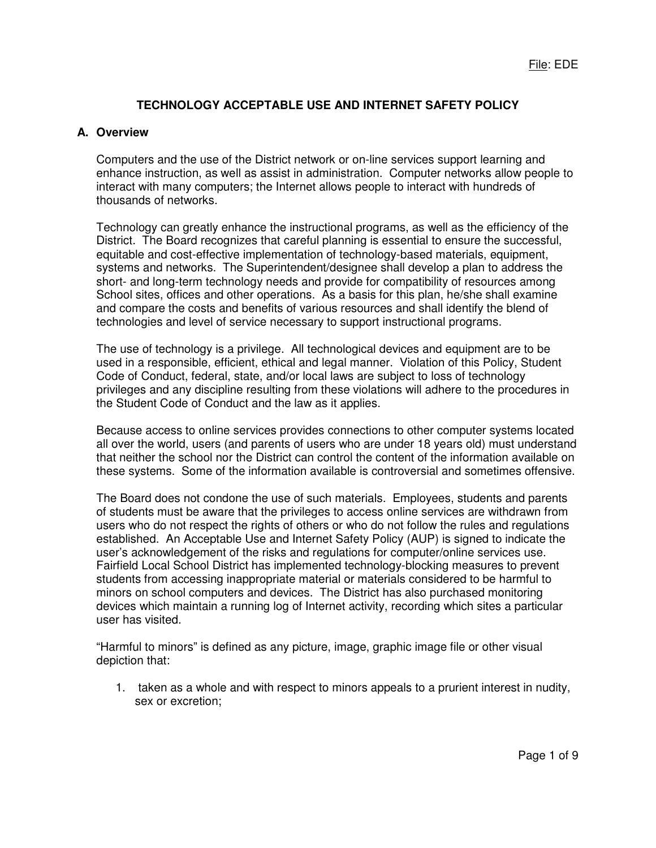# **TECHNOLOGY ACCEPTABLE USE AND INTERNET SAFETY POLICY**

# **A. Overview**

Computers and the use of the District network or on-line services support learning and enhance instruction, as well as assist in administration. Computer networks allow people to interact with many computers; the Internet allows people to interact with hundreds of thousands of networks.

Technology can greatly enhance the instructional programs, as well as the efficiency of the District. The Board recognizes that careful planning is essential to ensure the successful, equitable and cost-effective implementation of technology-based materials, equipment, systems and networks. The Superintendent/designee shall develop a plan to address the short- and long-term technology needs and provide for compatibility of resources among School sites, offices and other operations. As a basis for this plan, he/she shall examine and compare the costs and benefits of various resources and shall identify the blend of technologies and level of service necessary to support instructional programs.

The use of technology is a privilege. All technological devices and equipment are to be used in a responsible, efficient, ethical and legal manner. Violation of this Policy, Student Code of Conduct, federal, state, and/or local laws are subject to loss of technology privileges and any discipline resulting from these violations will adhere to the procedures in the Student Code of Conduct and the law as it applies.

Because access to online services provides connections to other computer systems located all over the world, users (and parents of users who are under 18 years old) must understand that neither the school nor the District can control the content of the information available on these systems. Some of the information available is controversial and sometimes offensive.

The Board does not condone the use of such materials. Employees, students and parents of students must be aware that the privileges to access online services are withdrawn from users who do not respect the rights of others or who do not follow the rules and regulations established. An Acceptable Use and Internet Safety Policy (AUP) is signed to indicate the user's acknowledgement of the risks and regulations for computer/online services use. Fairfield Local School District has implemented technology-blocking measures to prevent students from accessing inappropriate material or materials considered to be harmful to minors on school computers and devices. The District has also purchased monitoring devices which maintain a running log of Internet activity, recording which sites a particular user has visited.

"Harmful to minors" is defined as any picture, image, graphic image file or other visual depiction that:

1. taken as a whole and with respect to minors appeals to a prurient interest in nudity, sex or excretion;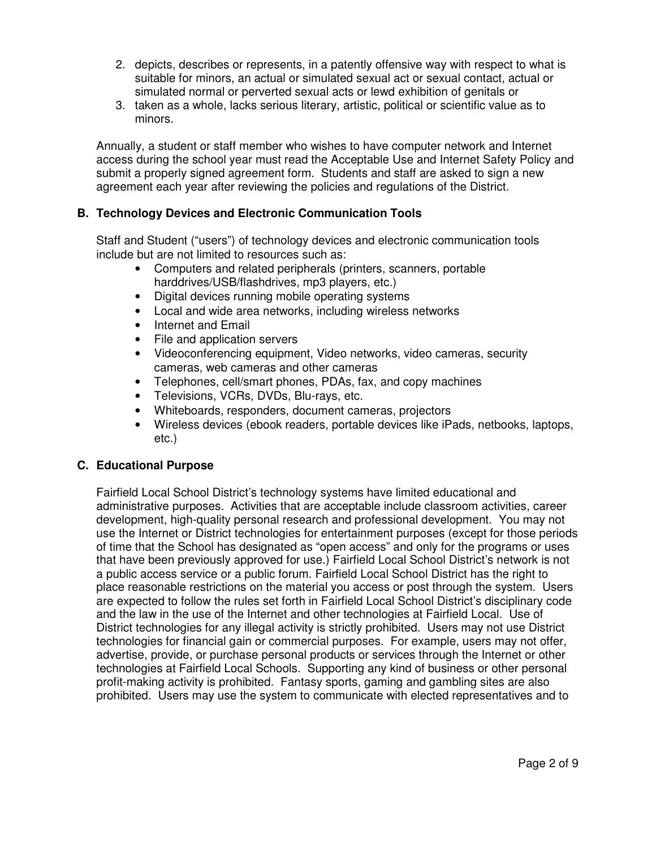- 2. depicts, describes or represents, in a patently offensive way with respect to what is suitable for minors, an actual or simulated sexual act or sexual contact, actual or simulated normal or perverted sexual acts or lewd exhibition of genitals or
- 3. taken as a whole, lacks serious literary, artistic, political or scientific value as to minors.

Annually, a student or staff member who wishes to have computer network and Internet access during the school year must read the Acceptable Use and Internet Safety Policy and submit a properly signed agreement form. Students and staff are asked to sign a new agreement each year after reviewing the policies and regulations of the District.

# **B. Technology Devices and Electronic Communication Tools**

Staff and Student ("users") of technology devices and electronic communication tools include but are not limited to resources such as:

- Computers and related peripherals (printers, scanners, portable harddrives/USB/flashdrives, mp3 players, etc.)
- Digital devices running mobile operating systems
- Local and wide area networks, including wireless networks
- Internet and Email
- File and application servers
- Videoconferencing equipment, Video networks, video cameras, security cameras, web cameras and other cameras
- Telephones, cell/smart phones, PDAs, fax, and copy machines
- Televisions, VCRs, DVDs, Blu-rays, etc.
- Whiteboards, responders, document cameras, projectors
- Wireless devices (ebook readers, portable devices like iPads, netbooks, laptops, etc.)

## **C. Educational Purpose**

Fairfield Local School District's technology systems have limited educational and administrative purposes. Activities that are acceptable include classroom activities, career development, high-quality personal research and professional development. You may not use the Internet or District technologies for entertainment purposes (except for those periods of time that the School has designated as "open access" and only for the programs or uses that have been previously approved for use.) Fairfield Local School District's network is not a public access service or a public forum. Fairfield Local School District has the right to place reasonable restrictions on the material you access or post through the system. Users are expected to follow the rules set forth in Fairfield Local School District's disciplinary code and the law in the use of the Internet and other technologies at Fairfield Local. Use of District technologies for any illegal activity is strictly prohibited. Users may not use District technologies for financial gain or commercial purposes. For example, users may not offer, advertise, provide, or purchase personal products or services through the Internet or other technologies at Fairfield Local Schools. Supporting any kind of business or other personal profit-making activity is prohibited. Fantasy sports, gaming and gambling sites are also prohibited. Users may use the system to communicate with elected representatives and to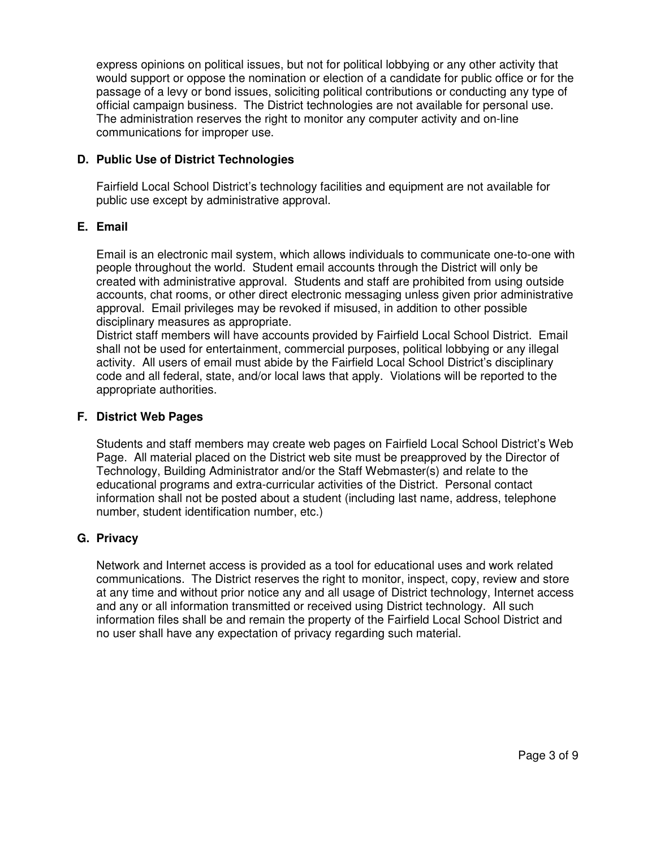express opinions on political issues, but not for political lobbying or any other activity that would support or oppose the nomination or election of a candidate for public office or for the passage of a levy or bond issues, soliciting political contributions or conducting any type of official campaign business. The District technologies are not available for personal use. The administration reserves the right to monitor any computer activity and on-line communications for improper use.

# **D. Public Use of District Technologies**

Fairfield Local School District's technology facilities and equipment are not available for public use except by administrative approval.

## **E. Email**

Email is an electronic mail system, which allows individuals to communicate one-to-one with people throughout the world. Student email accounts through the District will only be created with administrative approval. Students and staff are prohibited from using outside accounts, chat rooms, or other direct electronic messaging unless given prior administrative approval. Email privileges may be revoked if misused, in addition to other possible disciplinary measures as appropriate.

District staff members will have accounts provided by Fairfield Local School District. Email shall not be used for entertainment, commercial purposes, political lobbying or any illegal activity. All users of email must abide by the Fairfield Local School District's disciplinary code and all federal, state, and/or local laws that apply. Violations will be reported to the appropriate authorities.

## **F. District Web Pages**

Students and staff members may create web pages on Fairfield Local School District's Web Page. All material placed on the District web site must be preapproved by the Director of Technology, Building Administrator and/or the Staff Webmaster(s) and relate to the educational programs and extra-curricular activities of the District. Personal contact information shall not be posted about a student (including last name, address, telephone number, student identification number, etc.)

# **G. Privacy**

Network and Internet access is provided as a tool for educational uses and work related communications. The District reserves the right to monitor, inspect, copy, review and store at any time and without prior notice any and all usage of District technology, Internet access and any or all information transmitted or received using District technology. All such information files shall be and remain the property of the Fairfield Local School District and no user shall have any expectation of privacy regarding such material.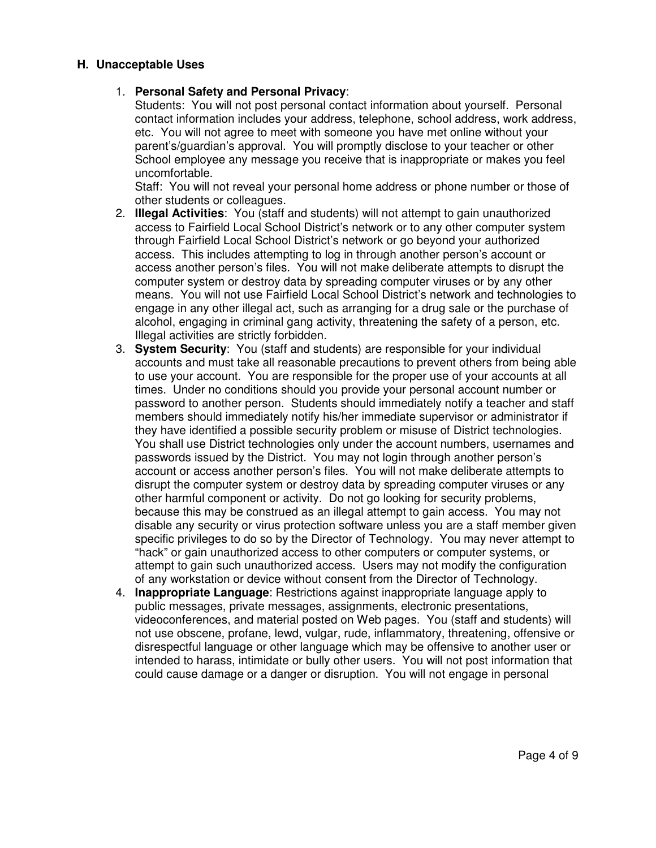#### **H. Unacceptable Uses**

#### 1. **Personal Safety and Personal Privacy**:

Students: You will not post personal contact information about yourself. Personal contact information includes your address, telephone, school address, work address, etc. You will not agree to meet with someone you have met online without your parent's/guardian's approval. You will promptly disclose to your teacher or other School employee any message you receive that is inappropriate or makes you feel uncomfortable.

Staff: You will not reveal your personal home address or phone number or those of other students or colleagues.

- 2. **Illegal Activities**: You (staff and students) will not attempt to gain unauthorized access to Fairfield Local School District's network or to any other computer system through Fairfield Local School District's network or go beyond your authorized access. This includes attempting to log in through another person's account or access another person's files. You will not make deliberate attempts to disrupt the computer system or destroy data by spreading computer viruses or by any other means. You will not use Fairfield Local School District's network and technologies to engage in any other illegal act, such as arranging for a drug sale or the purchase of alcohol, engaging in criminal gang activity, threatening the safety of a person, etc. Illegal activities are strictly forbidden.
- 3. **System Security**: You (staff and students) are responsible for your individual accounts and must take all reasonable precautions to prevent others from being able to use your account. You are responsible for the proper use of your accounts at all times. Under no conditions should you provide your personal account number or password to another person. Students should immediately notify a teacher and staff members should immediately notify his/her immediate supervisor or administrator if they have identified a possible security problem or misuse of District technologies. You shall use District technologies only under the account numbers, usernames and passwords issued by the District. You may not login through another person's account or access another person's files. You will not make deliberate attempts to disrupt the computer system or destroy data by spreading computer viruses or any other harmful component or activity. Do not go looking for security problems, because this may be construed as an illegal attempt to gain access. You may not disable any security or virus protection software unless you are a staff member given specific privileges to do so by the Director of Technology. You may never attempt to "hack" or gain unauthorized access to other computers or computer systems, or attempt to gain such unauthorized access. Users may not modify the configuration of any workstation or device without consent from the Director of Technology.
- 4. **Inappropriate Language**: Restrictions against inappropriate language apply to public messages, private messages, assignments, electronic presentations, videoconferences, and material posted on Web pages. You (staff and students) will not use obscene, profane, lewd, vulgar, rude, inflammatory, threatening, offensive or disrespectful language or other language which may be offensive to another user or intended to harass, intimidate or bully other users. You will not post information that could cause damage or a danger or disruption. You will not engage in personal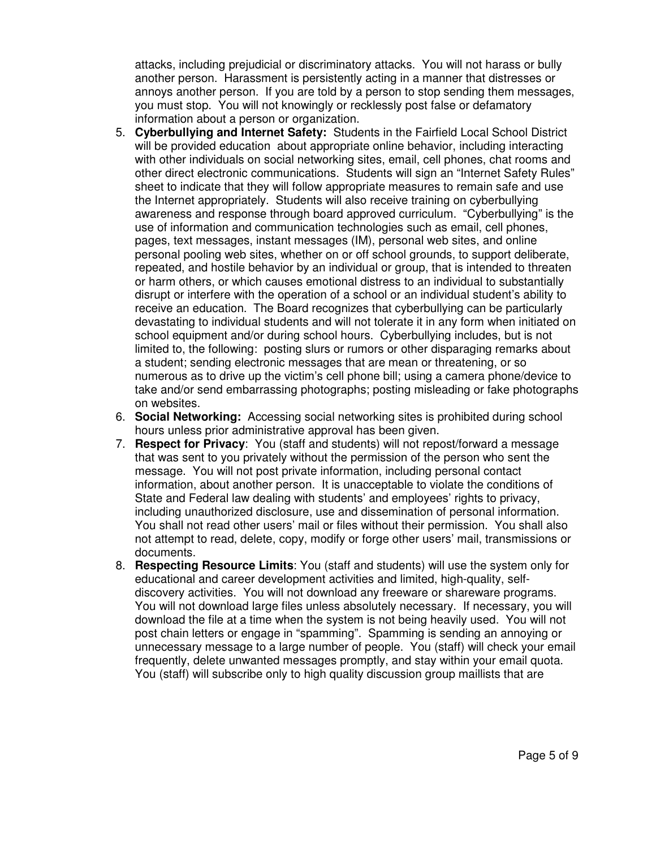attacks, including prejudicial or discriminatory attacks. You will not harass or bully another person. Harassment is persistently acting in a manner that distresses or annoys another person. If you are told by a person to stop sending them messages, you must stop. You will not knowingly or recklessly post false or defamatory information about a person or organization.

- 5. **Cyberbullying and Internet Safety:** Students in the Fairfield Local School District will be provided education about appropriate online behavior, including interacting with other individuals on social networking sites, email, cell phones, chat rooms and other direct electronic communications. Students will sign an "Internet Safety Rules" sheet to indicate that they will follow appropriate measures to remain safe and use the Internet appropriately. Students will also receive training on cyberbullying awareness and response through board approved curriculum. "Cyberbullying" is the use of information and communication technologies such as email, cell phones, pages, text messages, instant messages (IM), personal web sites, and online personal pooling web sites, whether on or off school grounds, to support deliberate, repeated, and hostile behavior by an individual or group, that is intended to threaten or harm others, or which causes emotional distress to an individual to substantially disrupt or interfere with the operation of a school or an individual student's ability to receive an education. The Board recognizes that cyberbullying can be particularly devastating to individual students and will not tolerate it in any form when initiated on school equipment and/or during school hours. Cyberbullying includes, but is not limited to, the following: posting slurs or rumors or other disparaging remarks about a student; sending electronic messages that are mean or threatening, or so numerous as to drive up the victim's cell phone bill; using a camera phone/device to take and/or send embarrassing photographs; posting misleading or fake photographs on websites.
- 6. **Social Networking:** Accessing social networking sites is prohibited during school hours unless prior administrative approval has been given.
- 7. **Respect for Privacy**: You (staff and students) will not repost/forward a message that was sent to you privately without the permission of the person who sent the message. You will not post private information, including personal contact information, about another person. It is unacceptable to violate the conditions of State and Federal law dealing with students' and employees' rights to privacy, including unauthorized disclosure, use and dissemination of personal information. You shall not read other users' mail or files without their permission. You shall also not attempt to read, delete, copy, modify or forge other users' mail, transmissions or documents.
- 8. **Respecting Resource Limits**: You (staff and students) will use the system only for educational and career development activities and limited, high-quality, selfdiscovery activities. You will not download any freeware or shareware programs. You will not download large files unless absolutely necessary. If necessary, you will download the file at a time when the system is not being heavily used. You will not post chain letters or engage in "spamming". Spamming is sending an annoying or unnecessary message to a large number of people. You (staff) will check your email frequently, delete unwanted messages promptly, and stay within your email quota. You (staff) will subscribe only to high quality discussion group maillists that are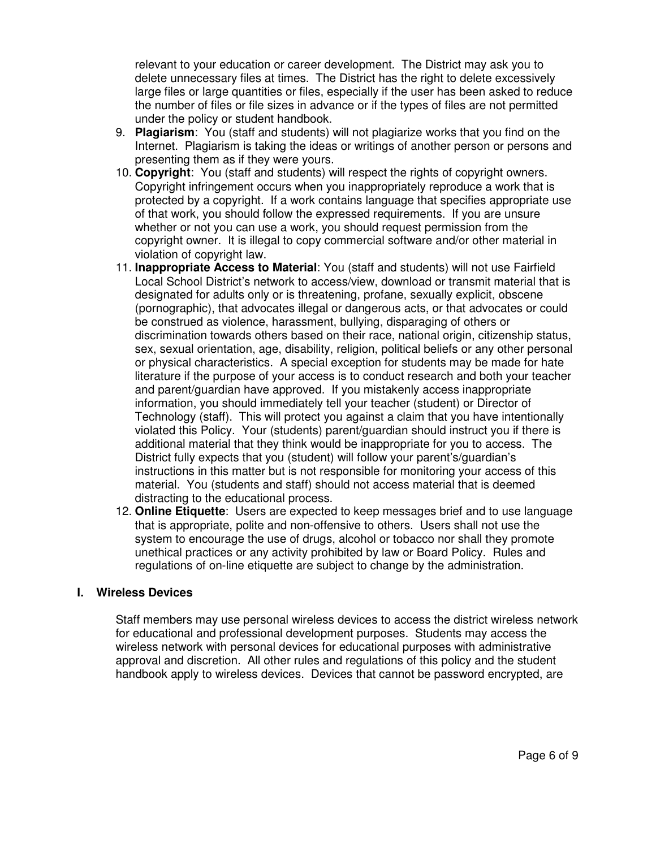relevant to your education or career development. The District may ask you to delete unnecessary files at times. The District has the right to delete excessively large files or large quantities or files, especially if the user has been asked to reduce the number of files or file sizes in advance or if the types of files are not permitted under the policy or student handbook.

- 9. **Plagiarism**: You (staff and students) will not plagiarize works that you find on the Internet. Plagiarism is taking the ideas or writings of another person or persons and presenting them as if they were yours.
- 10. **Copyright**: You (staff and students) will respect the rights of copyright owners. Copyright infringement occurs when you inappropriately reproduce a work that is protected by a copyright. If a work contains language that specifies appropriate use of that work, you should follow the expressed requirements. If you are unsure whether or not you can use a work, you should request permission from the copyright owner. It is illegal to copy commercial software and/or other material in violation of copyright law.
- 11. **Inappropriate Access to Material**: You (staff and students) will not use Fairfield Local School District's network to access/view, download or transmit material that is designated for adults only or is threatening, profane, sexually explicit, obscene (pornographic), that advocates illegal or dangerous acts, or that advocates or could be construed as violence, harassment, bullying, disparaging of others or discrimination towards others based on their race, national origin, citizenship status, sex, sexual orientation, age, disability, religion, political beliefs or any other personal or physical characteristics. A special exception for students may be made for hate literature if the purpose of your access is to conduct research and both your teacher and parent/guardian have approved. If you mistakenly access inappropriate information, you should immediately tell your teacher (student) or Director of Technology (staff). This will protect you against a claim that you have intentionally violated this Policy. Your (students) parent/guardian should instruct you if there is additional material that they think would be inappropriate for you to access. The District fully expects that you (student) will follow your parent's/guardian's instructions in this matter but is not responsible for monitoring your access of this material. You (students and staff) should not access material that is deemed distracting to the educational process.
- 12. **Online Etiquette**: Users are expected to keep messages brief and to use language that is appropriate, polite and non-offensive to others. Users shall not use the system to encourage the use of drugs, alcohol or tobacco nor shall they promote unethical practices or any activity prohibited by law or Board Policy. Rules and regulations of on-line etiquette are subject to change by the administration.

## **I. Wireless Devices**

Staff members may use personal wireless devices to access the district wireless network for educational and professional development purposes. Students may access the wireless network with personal devices for educational purposes with administrative approval and discretion. All other rules and regulations of this policy and the student handbook apply to wireless devices. Devices that cannot be password encrypted, are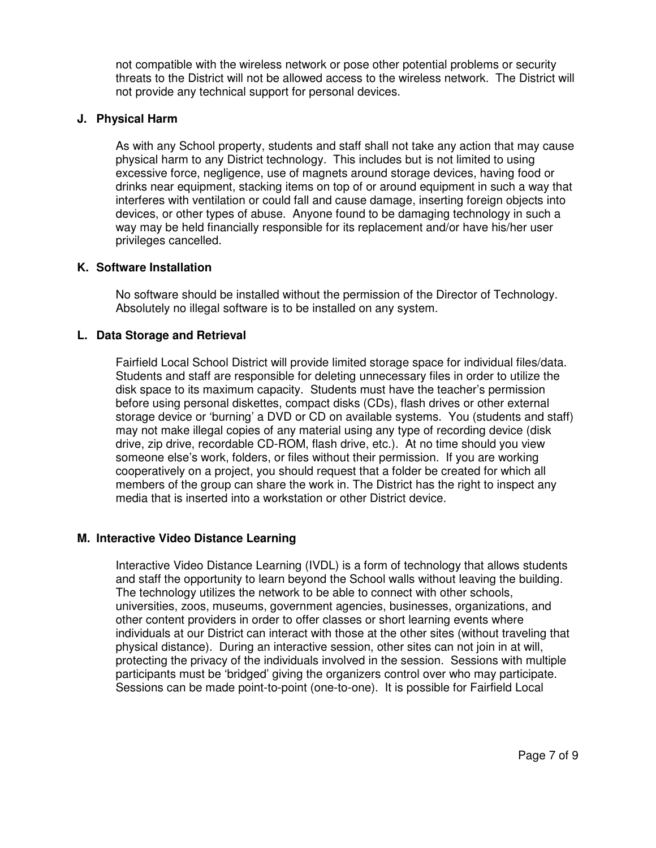not compatible with the wireless network or pose other potential problems or security threats to the District will not be allowed access to the wireless network. The District will not provide any technical support for personal devices.

#### **J. Physical Harm**

As with any School property, students and staff shall not take any action that may cause physical harm to any District technology. This includes but is not limited to using excessive force, negligence, use of magnets around storage devices, having food or drinks near equipment, stacking items on top of or around equipment in such a way that interferes with ventilation or could fall and cause damage, inserting foreign objects into devices, or other types of abuse. Anyone found to be damaging technology in such a way may be held financially responsible for its replacement and/or have his/her user privileges cancelled.

#### **K. Software Installation**

No software should be installed without the permission of the Director of Technology. Absolutely no illegal software is to be installed on any system.

#### **L. Data Storage and Retrieval**

Fairfield Local School District will provide limited storage space for individual files/data. Students and staff are responsible for deleting unnecessary files in order to utilize the disk space to its maximum capacity. Students must have the teacher's permission before using personal diskettes, compact disks (CDs), flash drives or other external storage device or 'burning' a DVD or CD on available systems. You (students and staff) may not make illegal copies of any material using any type of recording device (disk drive, zip drive, recordable CD-ROM, flash drive, etc.). At no time should you view someone else's work, folders, or files without their permission. If you are working cooperatively on a project, you should request that a folder be created for which all members of the group can share the work in. The District has the right to inspect any media that is inserted into a workstation or other District device.

## **M. Interactive Video Distance Learning**

Interactive Video Distance Learning (IVDL) is a form of technology that allows students and staff the opportunity to learn beyond the School walls without leaving the building. The technology utilizes the network to be able to connect with other schools, universities, zoos, museums, government agencies, businesses, organizations, and other content providers in order to offer classes or short learning events where individuals at our District can interact with those at the other sites (without traveling that physical distance). During an interactive session, other sites can not join in at will, protecting the privacy of the individuals involved in the session. Sessions with multiple participants must be 'bridged' giving the organizers control over who may participate. Sessions can be made point-to-point (one-to-one). It is possible for Fairfield Local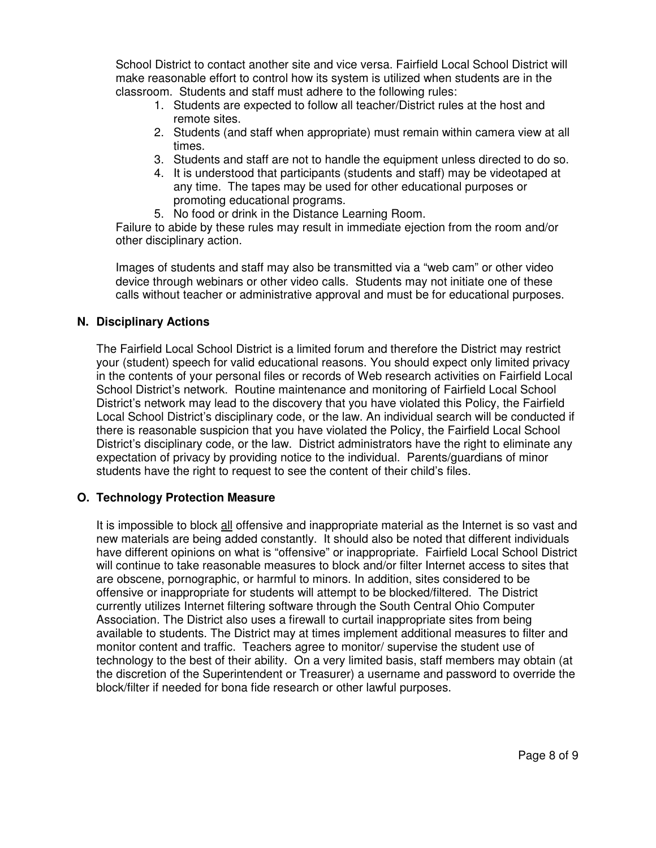School District to contact another site and vice versa. Fairfield Local School District will make reasonable effort to control how its system is utilized when students are in the classroom. Students and staff must adhere to the following rules:

- 1. Students are expected to follow all teacher/District rules at the host and remote sites.
- 2. Students (and staff when appropriate) must remain within camera view at all times.
- 3. Students and staff are not to handle the equipment unless directed to do so.
- 4. It is understood that participants (students and staff) may be videotaped at any time. The tapes may be used for other educational purposes or promoting educational programs.
- 5. No food or drink in the Distance Learning Room.

Failure to abide by these rules may result in immediate ejection from the room and/or other disciplinary action.

Images of students and staff may also be transmitted via a "web cam" or other video device through webinars or other video calls. Students may not initiate one of these calls without teacher or administrative approval and must be for educational purposes.

# **N. Disciplinary Actions**

The Fairfield Local School District is a limited forum and therefore the District may restrict your (student) speech for valid educational reasons. You should expect only limited privacy in the contents of your personal files or records of Web research activities on Fairfield Local School District's network. Routine maintenance and monitoring of Fairfield Local School District's network may lead to the discovery that you have violated this Policy, the Fairfield Local School District's disciplinary code, or the law. An individual search will be conducted if there is reasonable suspicion that you have violated the Policy, the Fairfield Local School District's disciplinary code, or the law. District administrators have the right to eliminate any expectation of privacy by providing notice to the individual. Parents/guardians of minor students have the right to request to see the content of their child's files.

## **O. Technology Protection Measure**

It is impossible to block all offensive and inappropriate material as the Internet is so vast and new materials are being added constantly. It should also be noted that different individuals have different opinions on what is "offensive" or inappropriate. Fairfield Local School District will continue to take reasonable measures to block and/or filter Internet access to sites that are obscene, pornographic, or harmful to minors. In addition, sites considered to be offensive or inappropriate for students will attempt to be blocked/filtered. The District currently utilizes Internet filtering software through the South Central Ohio Computer Association. The District also uses a firewall to curtail inappropriate sites from being available to students. The District may at times implement additional measures to filter and monitor content and traffic. Teachers agree to monitor/ supervise the student use of technology to the best of their ability. On a very limited basis, staff members may obtain (at the discretion of the Superintendent or Treasurer) a username and password to override the block/filter if needed for bona fide research or other lawful purposes.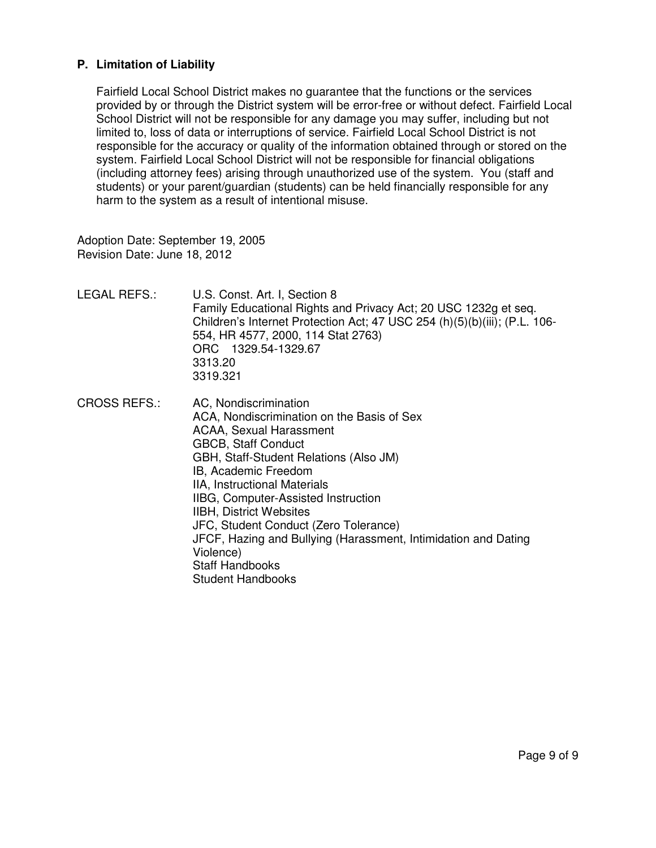# **P. Limitation of Liability**

Fairfield Local School District makes no guarantee that the functions or the services provided by or through the District system will be error-free or without defect. Fairfield Local School District will not be responsible for any damage you may suffer, including but not limited to, loss of data or interruptions of service. Fairfield Local School District is not responsible for the accuracy or quality of the information obtained through or stored on the system. Fairfield Local School District will not be responsible for financial obligations (including attorney fees) arising through unauthorized use of the system. You (staff and students) or your parent/guardian (students) can be held financially responsible for any harm to the system as a result of intentional misuse.

Adoption Date: September 19, 2005 Revision Date: June 18, 2012

- LEGAL REFS.: U.S. Const. Art. I, Section 8 Family Educational Rights and Privacy Act; 20 USC 1232g et seq. Children's Internet Protection Act; 47 USC 254 (h)(5)(b)(iii); (P.L. 106- 554, HR 4577, 2000, 114 Stat 2763) ORC 1329.54-1329.67 3313.20 3319.321
- CROSS REFS.: AC, Nondiscrimination ACA, Nondiscrimination on the Basis of Sex ACAA, Sexual Harassment GBCB, Staff Conduct GBH, Staff-Student Relations (Also JM) IB, Academic Freedom IIA, Instructional Materials IIBG, Computer-Assisted Instruction IIBH, District Websites JFC, Student Conduct (Zero Tolerance) JFCF, Hazing and Bullying (Harassment, Intimidation and Dating Violence) Staff Handbooks Student Handbooks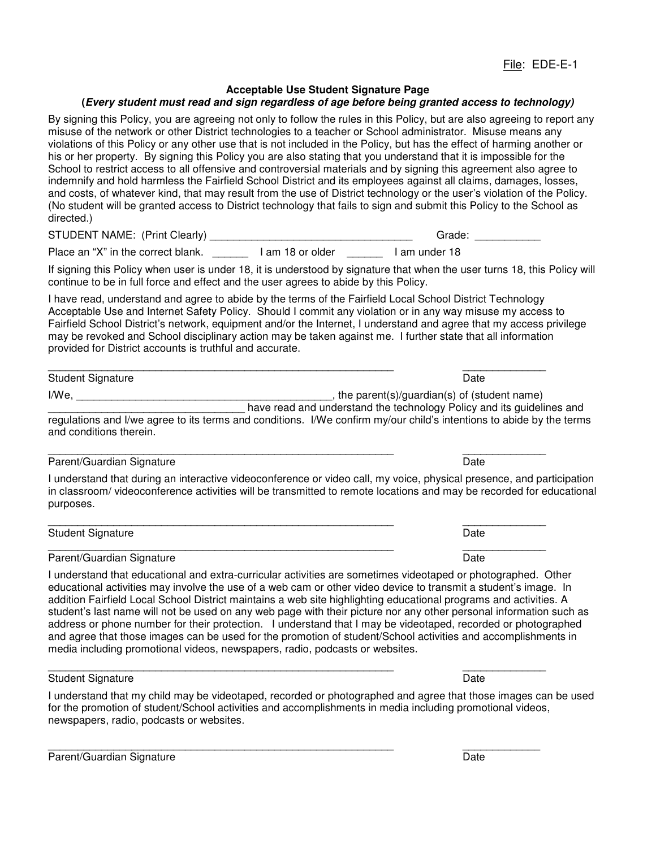#### **Acceptable Use Student Signature Page**

#### **(Every student must read and sign regardless of age before being granted access to technology)**

By signing this Policy, you are agreeing not only to follow the rules in this Policy, but are also agreeing to report any misuse of the network or other District technologies to a teacher or School administrator. Misuse means any violations of this Policy or any other use that is not included in the Policy, but has the effect of harming another or his or her property. By signing this Policy you are also stating that you understand that it is impossible for the School to restrict access to all offensive and controversial materials and by signing this agreement also agree to indemnify and hold harmless the Fairfield School District and its employees against all claims, damages, losses, and costs, of whatever kind, that may result from the use of District technology or the user's violation of the Policy. (No student will be granted access to District technology that fails to sign and submit this Policy to the School as directed.)

STUDENT NAME: (Print Clearly) \_\_\_\_\_\_\_\_\_\_\_\_\_\_\_\_\_\_\_\_\_\_\_\_\_\_\_\_\_\_\_\_\_\_ Grade: \_\_\_\_\_\_\_\_\_\_\_

Place an "X" in the correct blank. \_\_\_\_\_\_\_ 1 am 18 or older \_\_\_\_\_\_ 1 am under 18

If signing this Policy when user is under 18, it is understood by signature that when the user turns 18, this Policy will continue to be in full force and effect and the user agrees to abide by this Policy.

I have read, understand and agree to abide by the terms of the Fairfield Local School District Technology Acceptable Use and Internet Safety Policy. Should I commit any violation or in any way misuse my access to Fairfield School District's network, equipment and/or the Internet, I understand and agree that my access privilege may be revoked and School disciplinary action may be taken against me. I further state that all information provided for District accounts is truthful and accurate.

| <b>Student Signature</b> | ∍ate                                        |
|--------------------------|---------------------------------------------|
| I/We                     | the parent(s)/guardian(s) of (student name) |

have read and understand the technology Policy and its guidelines and regulations and I/we agree to its terms and conditions. I/We confirm my/our child's intentions to abide by the terms and conditions therein.

#### Parent/Guardian Signature **Date of American Structure Date** Date Date

I understand that during an interactive videoconference or video call, my voice, physical presence, and participation in classroom/ videoconference activities will be transmitted to remote locations and may be recorded for educational purposes.

#### Student Signature Date

#### \_\_\_\_\_\_\_\_\_\_\_\_\_\_\_\_\_\_\_\_\_\_\_\_\_\_\_\_\_\_\_\_\_\_\_\_\_\_\_\_\_\_\_\_\_\_\_\_\_\_\_\_\_\_\_\_\_\_ \_\_\_\_\_\_\_\_\_\_\_\_\_\_ Parent/Guardian Signature **Date of American Structure Date** Date Date

I understand that educational and extra-curricular activities are sometimes videotaped or photographed. Other educational activities may involve the use of a web cam or other video device to transmit a student's image. In addition Fairfield Local School District maintains a web site highlighting educational programs and activities. A student's last name will not be used on any web page with their picture nor any other personal information such as address or phone number for their protection. I understand that I may be videotaped, recorded or photographed and agree that those images can be used for the promotion of student/School activities and accomplishments in media including promotional videos, newspapers, radio, podcasts or websites.

#### Student Signature Date

I understand that my child may be videotaped, recorded or photographed and agree that those images can be used for the promotion of student/School activities and accomplishments in media including promotional videos, newspapers, radio, podcasts or websites.

\_\_\_\_\_\_\_\_\_\_\_\_\_\_\_\_\_\_\_\_\_\_\_\_\_\_\_\_\_\_\_\_\_\_\_\_\_\_\_\_\_\_\_\_\_\_\_\_\_\_\_\_\_\_\_\_\_\_ \_\_\_\_\_\_\_\_\_\_\_\_\_

#### Parent/Guardian Signature **Date of American Structure Date** Date Date

\_\_\_\_\_\_\_\_\_\_\_\_\_\_\_\_\_\_\_\_\_\_\_\_\_\_\_\_\_\_\_\_\_\_\_\_\_\_\_\_\_\_\_\_\_\_\_\_\_\_\_\_\_\_\_\_\_\_ \_\_\_\_\_\_\_\_\_\_\_\_\_\_

\_\_\_\_\_\_\_\_\_\_\_\_\_\_\_\_\_\_\_\_\_\_\_\_\_\_\_\_\_\_\_\_\_\_\_\_\_\_\_\_\_\_\_\_\_\_\_\_\_\_\_\_\_\_\_\_\_\_ \_\_\_\_\_\_\_\_\_\_\_\_\_\_

\_\_\_\_\_\_\_\_\_\_\_\_\_\_\_\_\_\_\_\_\_\_\_\_\_\_\_\_\_\_\_\_\_\_\_\_\_\_\_\_\_\_\_\_\_\_\_\_\_\_\_\_\_\_\_\_\_\_ \_\_\_\_\_\_\_\_\_\_\_\_\_\_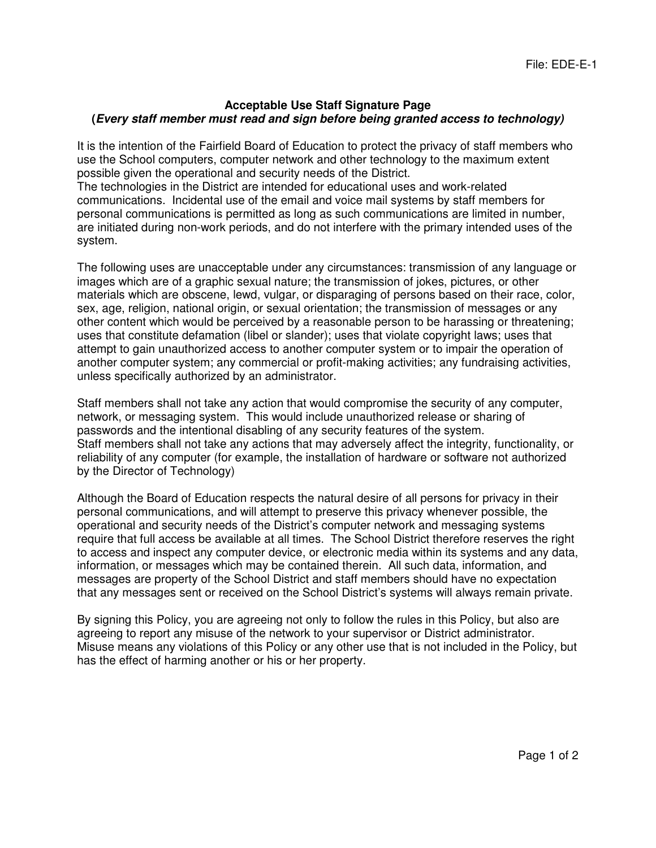# **Acceptable Use Staff Signature Page (Every staff member must read and sign before being granted access to technology)**

It is the intention of the Fairfield Board of Education to protect the privacy of staff members who use the School computers, computer network and other technology to the maximum extent possible given the operational and security needs of the District.

The technologies in the District are intended for educational uses and work-related communications. Incidental use of the email and voice mail systems by staff members for personal communications is permitted as long as such communications are limited in number, are initiated during non-work periods, and do not interfere with the primary intended uses of the system.

The following uses are unacceptable under any circumstances: transmission of any language or images which are of a graphic sexual nature; the transmission of jokes, pictures, or other materials which are obscene, lewd, vulgar, or disparaging of persons based on their race, color, sex, age, religion, national origin, or sexual orientation; the transmission of messages or any other content which would be perceived by a reasonable person to be harassing or threatening; uses that constitute defamation (libel or slander); uses that violate copyright laws; uses that attempt to gain unauthorized access to another computer system or to impair the operation of another computer system; any commercial or profit-making activities; any fundraising activities, unless specifically authorized by an administrator.

Staff members shall not take any action that would compromise the security of any computer, network, or messaging system. This would include unauthorized release or sharing of passwords and the intentional disabling of any security features of the system. Staff members shall not take any actions that may adversely affect the integrity, functionality, or reliability of any computer (for example, the installation of hardware or software not authorized by the Director of Technology)

Although the Board of Education respects the natural desire of all persons for privacy in their personal communications, and will attempt to preserve this privacy whenever possible, the operational and security needs of the District's computer network and messaging systems require that full access be available at all times. The School District therefore reserves the right to access and inspect any computer device, or electronic media within its systems and any data, information, or messages which may be contained therein. All such data, information, and messages are property of the School District and staff members should have no expectation that any messages sent or received on the School District's systems will always remain private.

By signing this Policy, you are agreeing not only to follow the rules in this Policy, but also are agreeing to report any misuse of the network to your supervisor or District administrator. Misuse means any violations of this Policy or any other use that is not included in the Policy, but has the effect of harming another or his or her property.